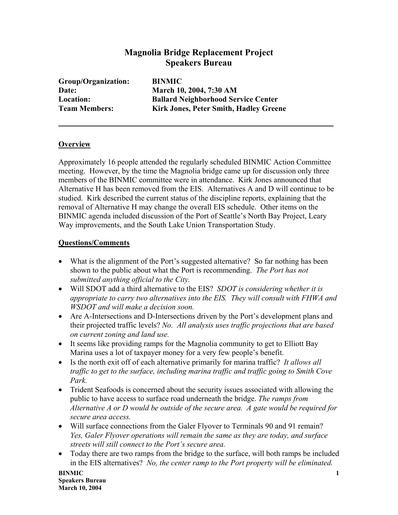## **Magnolia Bridge Replacement Project Speakers Bureau**

| Group/Organization:  |
|----------------------|
| Date:                |
| Location:            |
| <b>Team Members:</b> |

**BINMIC March 10, 2004, 7:30 AM Ballard Neighborhood Service Center Kirk Jones, Peter Smith, Hadley Greene** 

## **Overview**

Approximately 16 people attended the regularly scheduled BINMIC Action Committee meeting. However, by the time the Magnolia bridge came up for discussion only three members of the BINMIC committee were in attendance. Kirk Jones announced that Alternative H has been removed from the EIS. Alternatives A and D will continue to be studied. Kirk described the current status of the discipline reports, explaining that the removal of Alternative H may change the overall EIS schedule. Other items on the BINMIC agenda included discussion of the Port of Seattle's North Bay Project, Leary Way improvements, and the South Lake Union Transportation Study.

## **Questions/Comments**

- What is the alignment of the Port's suggested alternative? So far nothing has been shown to the public about what the Port is recommending. *The Port has not submitted anything official to the City.*
- Will SDOT add a third alternative to the EIS? *SDOT is considering whether it is appropriate to carry two alternatives into the EIS. They will consult with FHWA and WSDOT and will make a decision soon.*
- Are A-Intersections and D-Intersections driven by the Port's development plans and their projected traffic levels? *No. All analysis uses traffic projections that are based on current zoning and land use.*
- It seems like providing ramps for the Magnolia community to get to Elliott Bay Marina uses a lot of taxpayer money for a very few people's benefit.
- Is the north exit off of each alternative primarily for marina traffic? *It allows all traffic to get to the surface, including marina traffic and traffic going to Smith Cove Park.*
- Trident Seafoods is concerned about the security issues associated with allowing the public to have access to surface road underneath the bridge. *The ramps from Alternative A or D would be outside of the secure area. A gate would be required for secure area access.*
- Will surface connections from the Galer Flyover to Terminals 90 and 91 remain? *Yes, Galer Flyover operations will remain the same as they are today, and surface streets will still connect to the Port's secure area.*
- Today there are two ramps from the bridge to the surface, will both ramps be included in the EIS alternatives? *No, the center ramp to the Port property will be eliminated.*